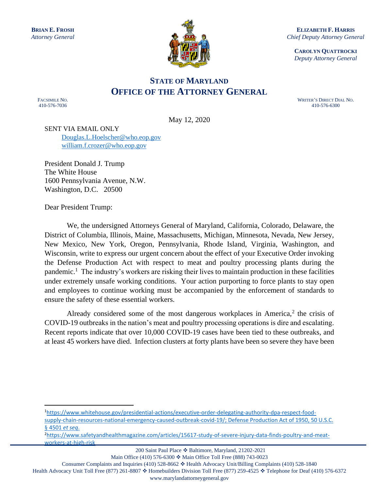

**ELIZABETH F. HARRIS** *Chief Deputy Attorney General*

**CAROLYN QUATTROCKI** *Deputy Attorney General*

## **STATE OF MARYLAND OFFICE OF THE ATTORNEY GENERAL**

FACSIMILE NO. 410-576-7036

WRITER'S DIRECT DIAL NO. 410-576-6300

May 12, 2020

SENT VIA EMAIL ONLY [Douglas.L.Hoelscher@who.eop.gov](mailto:Douglas.L.Hoelscher@who.eop.gov) [william.f.crozer@who.eop.gov](mailto:william.f.crozer@who.eop.gov)

President Donald J. Trump The White House 1600 Pennsylvania Avenue, N.W. Washington, D.C. 20500

Dear President Trump:

We, the undersigned Attorneys General of Maryland, California, Colorado, Delaware, the District of Columbia, Illinois, Maine, Massachusetts, Michigan, Minnesota, Nevada, New Jersey, New Mexico, New York, Oregon, Pennsylvania, Rhode Island, Virginia, Washington, and Wisconsin, write to express our urgent concern about the effect of your Executive Order invoking the Defense Production Act with respect to meat and poultry processing plants during the pandemic.<sup>1</sup> The industry's workers are risking their lives to maintain production in these facilities under extremely unsafe working conditions. Your action purporting to force plants to stay open and employees to continue working must be accompanied by the enforcement of standards to ensure the safety of these essential workers.

Already considered some of the most dangerous workplaces in America, $2$  the crisis of COVID-19 outbreaks in the nation's meat and poultry processing operations is dire and escalating. Recent reports indicate that over 10,000 COVID-19 cases have been tied to these outbreaks, and at least 45 workers have died. Infection clusters at forty plants have been so severe they have been

1[https://www.whitehouse.gov/presidential-actions/executive-order-delegating-authority-dpa-respect-food-](https://www.whitehouse.gov/presidential-actions/executive-order-delegating-authority-dpa-respect-food-supply-chain-resources-national-emergency-caused-outbreak-covid-19/)

[supply-chain-resources-national-emergency-caused-outbreak-covid-19/;](https://www.whitehouse.gov/presidential-actions/executive-order-delegating-authority-dpa-respect-food-supply-chain-resources-national-emergency-caused-outbreak-covid-19/) Defense Production Act of 1950, 50 U.S.C. § 4501 *et seq*.

2[https://www.safetyandhealthmagazine.com/articles/15617-study-of-severe-injury-data-finds-poultry-and-meat](https://www.safetyandhealthmagazine.com/articles/15617-study-of-severe-injury-data-finds-poultry-and-meat-workers-at-high-risk)[workers-at-high-risk](https://www.safetyandhealthmagazine.com/articles/15617-study-of-severe-injury-data-finds-poultry-and-meat-workers-at-high-risk)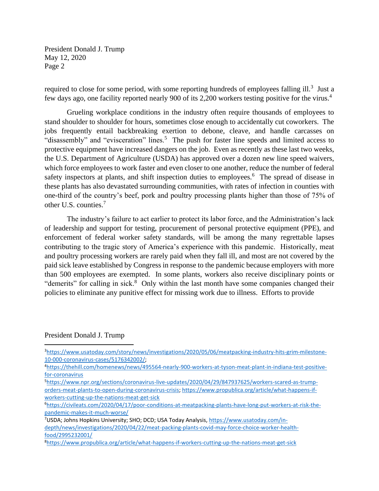required to close for some period, with some reporting hundreds of employees falling ill.<sup>3</sup> Just a few days ago, one facility reported nearly 900 of its 2,200 workers testing positive for the virus.<sup>4</sup>

Grueling workplace conditions in the industry often require thousands of employees to stand shoulder to shoulder for hours, sometimes close enough to accidentally cut coworkers. The jobs frequently entail backbreaking exertion to debone, cleave, and handle carcasses on "disassembly" and "evisceration" lines.<sup>5</sup> The push for faster line speeds and limited access to protective equipment have increased dangers on the job. Even as recently as these last two weeks, the U.S. Department of Agriculture (USDA) has approved over a dozen new line speed waivers, which force employees to work faster and even closer to one another, reduce the number of federal safety inspectors at plants, and shift inspection duties to employees.<sup>6</sup> The spread of disease in these plants has also devastated surrounding communities, with rates of infection in counties with one-third of the country's beef, pork and poultry processing plants higher than those of 75% of other U.S. counties.<sup>7</sup>

The industry's failure to act earlier to protect its labor force, and the Administration's lack of leadership and support for testing, procurement of personal protective equipment (PPE), and enforcement of federal worker safety standards, will be among the many regrettable lapses contributing to the tragic story of America's experience with this pandemic. Historically, meat and poultry processing workers are rarely paid when they fall ill, and most are not covered by the paid sick leave established by Congress in response to the pandemic because employers with more than 500 employees are exempted. In some plants, workers also receive disciplinary points or "demerits" for calling in sick.<sup>8</sup> Only within the last month have some companies changed their policies to eliminate any punitive effect for missing work due to illness. Efforts to provide

## President Donald J. Trump

<sup>3</sup>[https://www.usatoday.com/story/news/investigations/2020/05/06/meatpacking-industry-hits-grim-milestone-](https://www.usatoday.com/story/news/investigations/2020/05/06/meatpacking-industry-hits-grim-milestone-10-000-coronavirus-cases/5176342002/)[10-000-coronavirus-cases/5176342002/;](https://www.usatoday.com/story/news/investigations/2020/05/06/meatpacking-industry-hits-grim-milestone-10-000-coronavirus-cases/5176342002/)

<sup>4</sup>[https://thehill.com/homenews/news/495564-nearly-900-workers-at-tyson-meat-plant-in-indiana-test-positive](https://thehill.com/homenews/news/495564-nearly-900-workers-at-tyson-meat-plant-in-indiana-test-positive-for-coronavirus)[for-coronavirus](https://thehill.com/homenews/news/495564-nearly-900-workers-at-tyson-meat-plant-in-indiana-test-positive-for-coronavirus)

<sup>5</sup>[https://www.npr.org/sections/coronavirus-live-updates/2020/04/29/847937625/workers-scared-as-trump](https://www.npr.org/sections/coronavirus-live-updates/2020/04/29/847937625/workers-scared-as-trump-orders-meat-plants-to-open-during-coronavirus-crisis)[orders-meat-plants-to-open-during-coronavirus-crisis;](https://www.npr.org/sections/coronavirus-live-updates/2020/04/29/847937625/workers-scared-as-trump-orders-meat-plants-to-open-during-coronavirus-crisis) [https://www.propublica.org/article/what-happens-if](https://www.propublica.org/article/what-happens-if-workers-cutting-up-the-nations-meat-get-sick)[workers-cutting-up-the-nations-meat-get-sick](https://www.propublica.org/article/what-happens-if-workers-cutting-up-the-nations-meat-get-sick)

<sup>6</sup>[https://civileats.com/2020/04/17/poor-conditions-at-meatpacking-plants-have-long-put-workers-at-risk-the](https://civileats.com/2020/04/17/poor-conditions-at-meatpacking-plants-have-long-put-workers-at-risk-the-pandemic-makes-it-much-worse/)[pandemic-makes-it-much-worse/](https://civileats.com/2020/04/17/poor-conditions-at-meatpacking-plants-have-long-put-workers-at-risk-the-pandemic-makes-it-much-worse/)

<sup>7</sup>USDA; Johns Hopkins University; SHO; DCD; USA Today Analysis, [https://www.usatoday.com/in](https://www.usatoday.com/in-depth/news/investigations/2020/04/22/meat-packing-plants-covid-may-force-choice-worker-health-food/2995232001/)[depth/news/investigations/2020/04/22/meat-packing-plants-covid-may-force-choice-worker-health](https://www.usatoday.com/in-depth/news/investigations/2020/04/22/meat-packing-plants-covid-may-force-choice-worker-health-food/2995232001/)[food/2995232001/](https://www.usatoday.com/in-depth/news/investigations/2020/04/22/meat-packing-plants-covid-may-force-choice-worker-health-food/2995232001/)

<sup>8</sup><https://www.propublica.org/article/what-happens-if-workers-cutting-up-the-nations-meat-get-sick>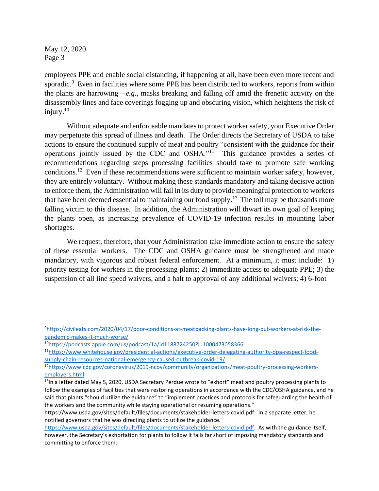May 12, 2020 Page 3

employees PPE and enable social distancing, if happening at all, have been even more recent and sporadic.<sup>9</sup> Even in facilities where some PPE has been distributed to workers, reports from within the plants are harrowing—*e.g*., masks breaking and falling off amid the frenetic activity on the disassembly lines and face coverings fogging up and obscuring vision, which heightens the risk of injury.<sup>10</sup>

Without adequate and enforceable mandates to protect worker safety, your Executive Order may perpetuate this spread of illness and death. The Order directs the Secretary of USDA to take actions to ensure the continued supply of meat and poultry "consistent with the guidance for their operations jointly issued by the CDC and OSHA."<sup>11</sup> This guidance provides a series of recommendations regarding steps processing facilities should take to promote safe working conditions.<sup>12</sup> Even if these recommendations were sufficient to maintain worker safety, however, they are entirely voluntary. Without making these standards mandatory and taking decisive action to enforce them, the Administration will fail in its duty to provide meaningful protection to workers that have been deemed essential to maintaining our food supply.<sup>13</sup> The toll may be thousands more falling victim to this disease. In addition, the Administration will thwart its own goal of keeping the plants open, as increasing prevalence of COVID-19 infection results in mounting labor shortages.

We request, therefore, that your Administration take immediate action to ensure the safety of these essential workers. The CDC and OSHA guidance must be strengthened and made mandatory, with vigorous and robust federal enforcement. At a minimum, it must include: 1) priority testing for workers in the processing plants; 2) immediate access to adequate PPE; 3) the suspension of all line speed waivers, and a halt to approval of any additional waivers; 4) 6-foot

<sup>9</sup>[https://civileats.com/2020/04/17/poor-conditions-at-meatpacking-plants-have-long-put-workers-at-risk-the](https://civileats.com/2020/04/17/poor-conditions-at-meatpacking-plants-have-long-put-workers-at-risk-the-pandemic-makes-it-much-worse/)[pandemic-makes-it-much-worse/](https://civileats.com/2020/04/17/poor-conditions-at-meatpacking-plants-have-long-put-workers-at-risk-the-pandemic-makes-it-much-worse/)

<sup>10</sup><https://podcasts.apple.com/us/podcast/1a/id1188724250?i=1000473058366>

<sup>11</sup>[https://www.whitehouse.gov/presidential-actions/executive-order-delegating-authority-dpa-respect-food](https://www.whitehouse.gov/presidential-actions/executive-order-delegating-authority-dpa-respect-food-supply-chain-resources-national-emergency-caused-outbreak-covid-19/)[supply-chain-resources-national-emergency-caused-outbreak-covid-19/](https://www.whitehouse.gov/presidential-actions/executive-order-delegating-authority-dpa-respect-food-supply-chain-resources-national-emergency-caused-outbreak-covid-19/)

<sup>12</sup>[https://www.cdc.gov/coronavirus/2019-ncov/community/organizations/meat-poultry-processing-workers](https://www.cdc.gov/coronavirus/2019-ncov/community/organizations/meat-poultry-processing-workers-employers.html)[employers.html](https://www.cdc.gov/coronavirus/2019-ncov/community/organizations/meat-poultry-processing-workers-employers.html)

<sup>&</sup>lt;sup>13</sup>In a letter dated May 5, 2020, USDA Secretary Perdue wrote to "exhort" meat and poultry processing plants to follow the examples of facilities that were restoring operations in accordance with the CDC/OSHA guidance, and he said that plants "should utilize the guidance" to "implement practices and protocols for safeguarding the health of the workers and the community while staying operational or resuming operations."

https://www.usda.gov/sites/default/files/documents/stakeholder-letters-covid.pdf. In a separate letter, he notified governors that he was directing plants to utilize the guidance.

[https://www.usda.gov/sites/default/files/documents/stakeholder-letters-covid.pdf.](https://www.usda.gov/sites/default/files/documents/stakeholder-letters-covid.pdf) As with the guidance itself, however, the Secretary's exhortation for plants to follow it falls far short of imposing mandatory standards and committing to enforce them.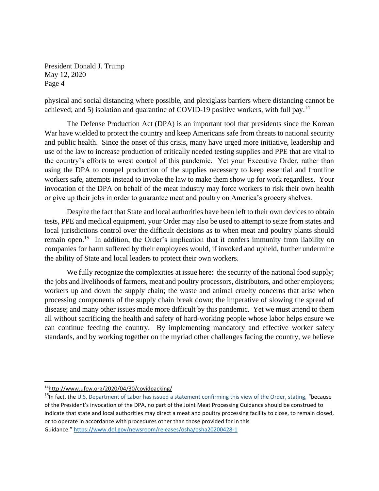physical and social distancing where possible, and plexiglass barriers where distancing cannot be achieved; and 5) isolation and quarantine of COVID-19 positive workers, with full pay.<sup>14</sup>

The Defense Production Act (DPA) is an important tool that presidents since the Korean War have wielded to protect the country and keep Americans safe from threats to national security and public health. Since the onset of this crisis, many have urged more initiative, leadership and use of the law to increase production of critically needed testing supplies and PPE that are vital to the country's efforts to wrest control of this pandemic. Yet your Executive Order, rather than using the DPA to compel production of the supplies necessary to keep essential and frontline workers safe, attempts instead to invoke the law to make them show up for work regardless. Your invocation of the DPA on behalf of the meat industry may force workers to risk their own health or give up their jobs in order to guarantee meat and poultry on America's grocery shelves.

Despite the fact that State and local authorities have been left to their own devices to obtain tests, PPE and medical equipment, your Order may also be used to attempt to seize from states and local jurisdictions control over the difficult decisions as to when meat and poultry plants should remain open.<sup>15</sup> In addition, the Order's implication that it confers immunity from liability on companies for harm suffered by their employees would, if invoked and upheld, further undermine the ability of State and local leaders to protect their own workers.

We fully recognize the complexities at issue here: the security of the national food supply; the jobs and livelihoods of farmers, meat and poultry processors, distributors, and other employers; workers up and down the supply chain; the waste and animal cruelty concerns that arise when processing components of the supply chain break down; the imperative of slowing the spread of disease; and many other issues made more difficult by this pandemic. Yet we must attend to them all without sacrificing the health and safety of hard-working people whose labor helps ensure we can continue feeding the country. By implementing mandatory and effective worker safety standards, and by working together on the myriad other challenges facing the country, we believe

<sup>14</sup><http://www.ufcw.org/2020/04/30/covidpacking/>

 $15$ In fact, the U.S. Department of Labor has issued a statement confirming this view of the Order, stating, "because of the President's invocation of the DPA, no part of the Joint Meat Processing Guidance should be construed to indicate that state and local authorities may direct a meat and poultry processing facility to close, to remain closed, or to operate in accordance with procedures other than those provided for in this Guidance." <https://www.dol.gov/newsroom/releases/osha/osha20200428-1>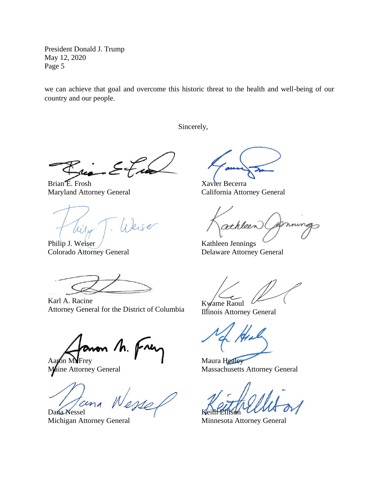we can achieve that goal and overcome this historic threat to the health and well-being of our country and our people.

Sincerely,

Brian E. Frosh Maryland Attorney General

- Weise Wilso

Philip J. Weiser Colorado Attorney General

Karl A. Racine Attorney General for the District of Columbia

non /h. 1 Aayon MNFrey

Maine Attorney General

Dana Nessel

Michigan Attorney General

Xavier Becerra California Attorney General

athleen

Kathleen Jennings Delaware Attorney General

Kwame Raoul

Illinois Attorney General

Maura Healey Massachusetts Attorney General

Keith Ellison

Minnesota Attorney General